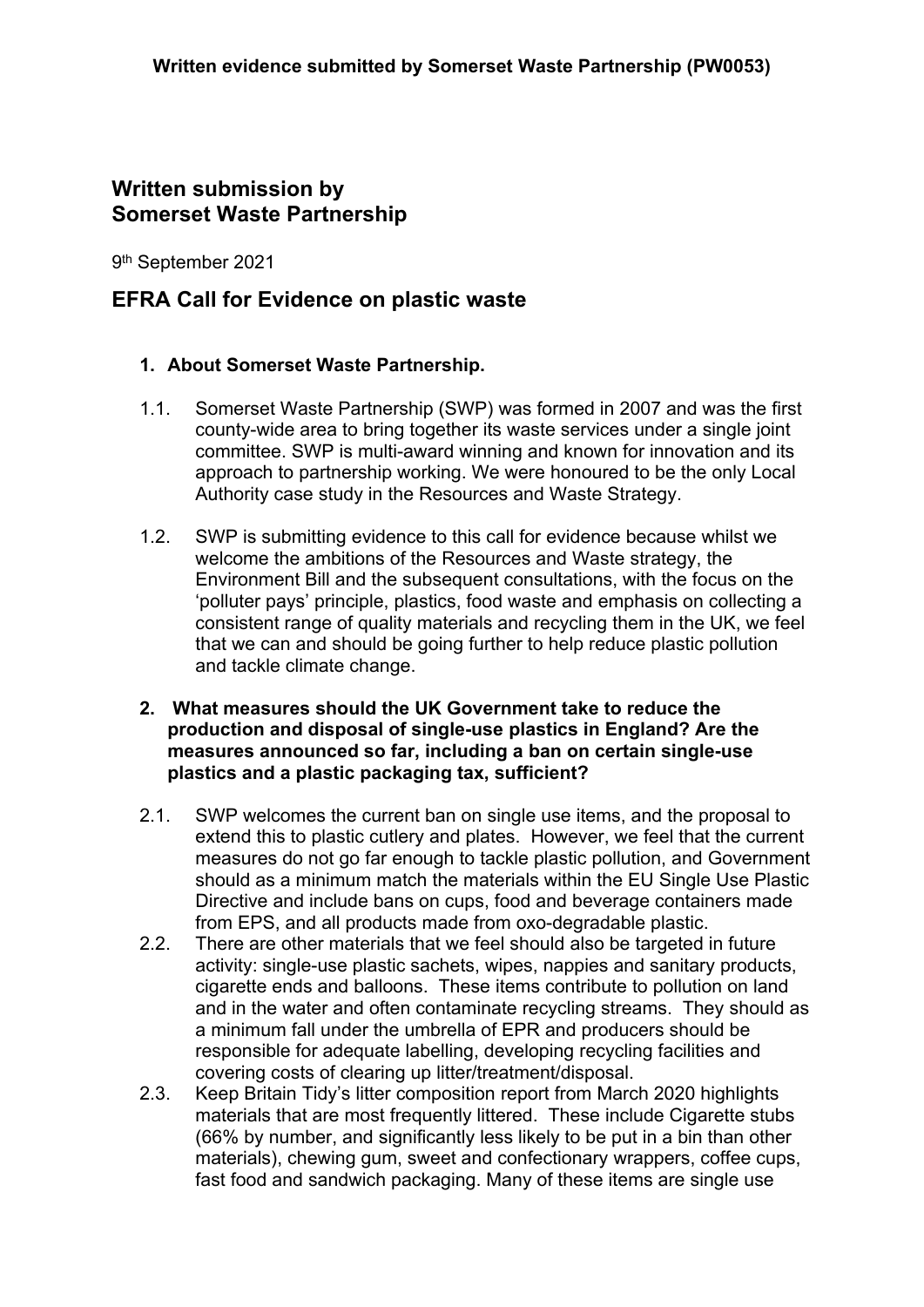# **Written submission by Somerset Waste Partnership**

9 th September 2021

## **EFRA Call for Evidence on plastic waste**

## **1. About Somerset Waste Partnership.**

- 1.1. Somerset Waste Partnership (SWP) was formed in 2007 and was the first county-wide area to bring together its waste services under a single joint committee. SWP is multi-award winning and known for innovation and its approach to partnership working. We were honoured to be the only Local Authority case study in the Resources and Waste Strategy.
- 1.2. SWP is submitting evidence to this call for evidence because whilst we welcome the ambitions of the Resources and Waste strategy, the Environment Bill and the subsequent consultations, with the focus on the 'polluter pays' principle, plastics, food waste and emphasis on collecting a consistent range of quality materials and recycling them in the UK, we feel that we can and should be going further to help reduce plastic pollution and tackle climate change.
- **2. What measures should the UK Government take to reduce the production and disposal of single-use plastics in England? Are the measures announced so far, including a ban on certain single-use plastics and a plastic packaging tax, sufficient?**
- 2.1. SWP welcomes the current ban on single use items, and the proposal to extend this to plastic cutlery and plates. However, we feel that the current measures do not go far enough to tackle plastic pollution, and Government should as a minimum match the materials within the EU Single Use Plastic Directive and include bans on cups, food and beverage containers made from EPS, and all products made from oxo-degradable plastic.
- 2.2. There are other materials that we feel should also be targeted in future activity: single-use plastic sachets, wipes, nappies and sanitary products, cigarette ends and balloons. These items contribute to pollution on land and in the water and often contaminate recycling streams. They should as a minimum fall under the umbrella of EPR and producers should be responsible for adequate labelling, developing recycling facilities and covering costs of clearing up litter/treatment/disposal.
- 2.3. Keep Britain Tidy's litter composition report from March 2020 highlights materials that are most frequently littered. These include Cigarette stubs (66% by number, and significantly less likely to be put in a bin than other materials), chewing gum, sweet and confectionary wrappers, coffee cups, fast food and sandwich packaging. Many of these items are single use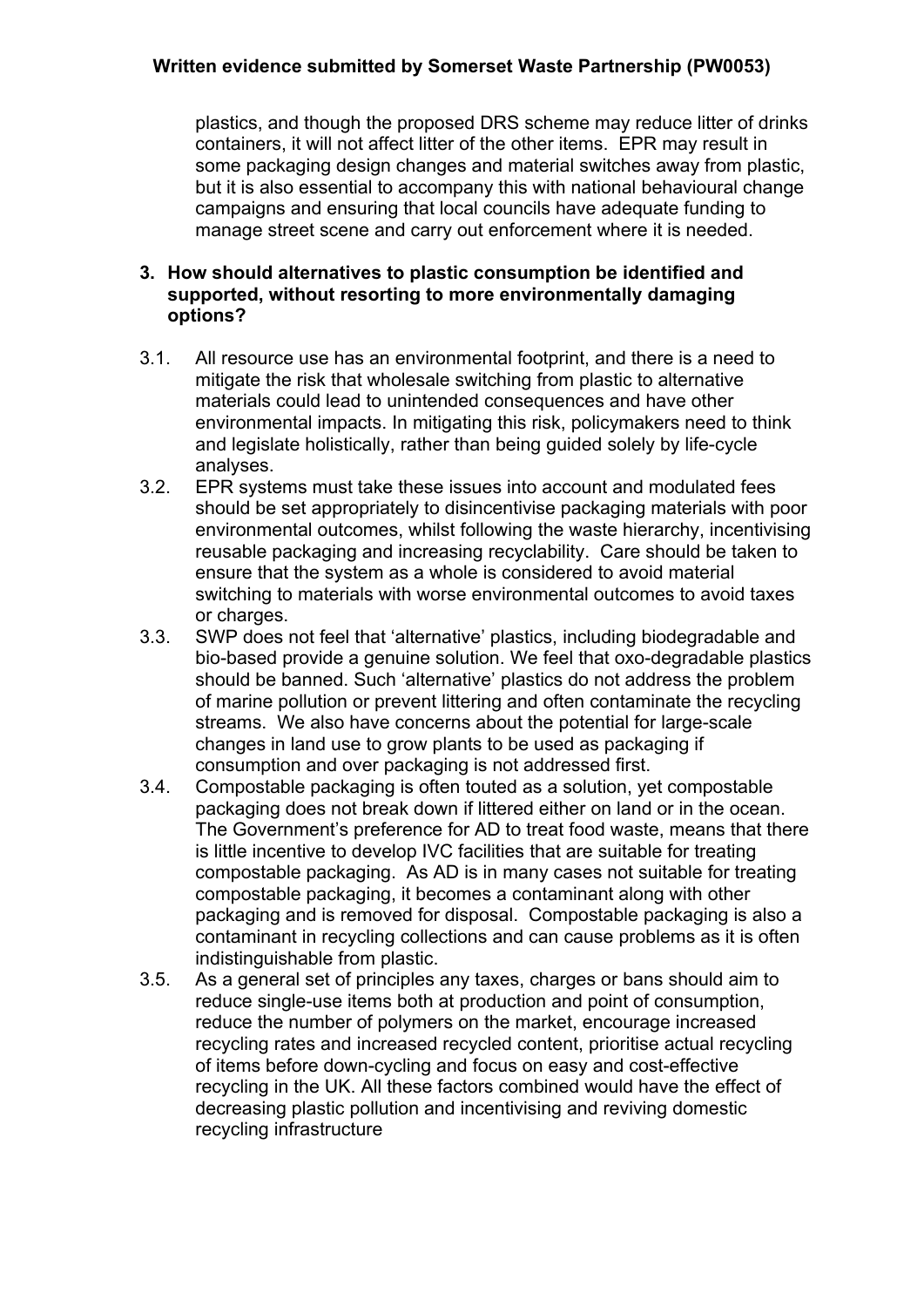## **Written evidence submitted by Somerset Waste Partnership (PW0053)**

plastics, and though the proposed DRS scheme may reduce litter of drinks containers, it will not affect litter of the other items. EPR may result in some packaging design changes and material switches away from plastic, but it is also essential to accompany this with national behavioural change campaigns and ensuring that local councils have adequate funding to manage street scene and carry out enforcement where it is needed.

#### **3. How should alternatives to plastic consumption be identified and supported, without resorting to more environmentally damaging options?**

- 3.1. All resource use has an environmental footprint, and there is a need to mitigate the risk that wholesale switching from plastic to alternative materials could lead to unintended consequences and have other environmental impacts. In mitigating this risk, policymakers need to think and legislate holistically, rather than being guided solely by life-cycle analyses.
- 3.2. EPR systems must take these issues into account and modulated fees should be set appropriately to disincentivise packaging materials with poor environmental outcomes, whilst following the waste hierarchy, incentivising reusable packaging and increasing recyclability. Care should be taken to ensure that the system as a whole is considered to avoid material switching to materials with worse environmental outcomes to avoid taxes or charges.
- 3.3. SWP does not feel that 'alternative' plastics, including biodegradable and bio-based provide a genuine solution. We feel that oxo-degradable plastics should be banned. Such 'alternative' plastics do not address the problem of marine pollution or prevent littering and often contaminate the recycling streams. We also have concerns about the potential for large-scale changes in land use to grow plants to be used as packaging if consumption and over packaging is not addressed first.
- 3.4. Compostable packaging is often touted as a solution, yet compostable packaging does not break down if littered either on land or in the ocean. The Government's preference for AD to treat food waste, means that there is little incentive to develop IVC facilities that are suitable for treating compostable packaging. As AD is in many cases not suitable for treating compostable packaging, it becomes a contaminant along with other packaging and is removed for disposal. Compostable packaging is also a contaminant in recycling collections and can cause problems as it is often indistinguishable from plastic.
- 3.5. As a general set of principles any taxes, charges or bans should aim to reduce single-use items both at production and point of consumption, reduce the number of polymers on the market, encourage increased recycling rates and increased recycled content, prioritise actual recycling of items before down-cycling and focus on easy and cost-effective recycling in the UK. All these factors combined would have the effect of decreasing plastic pollution and incentivising and reviving domestic recycling infrastructure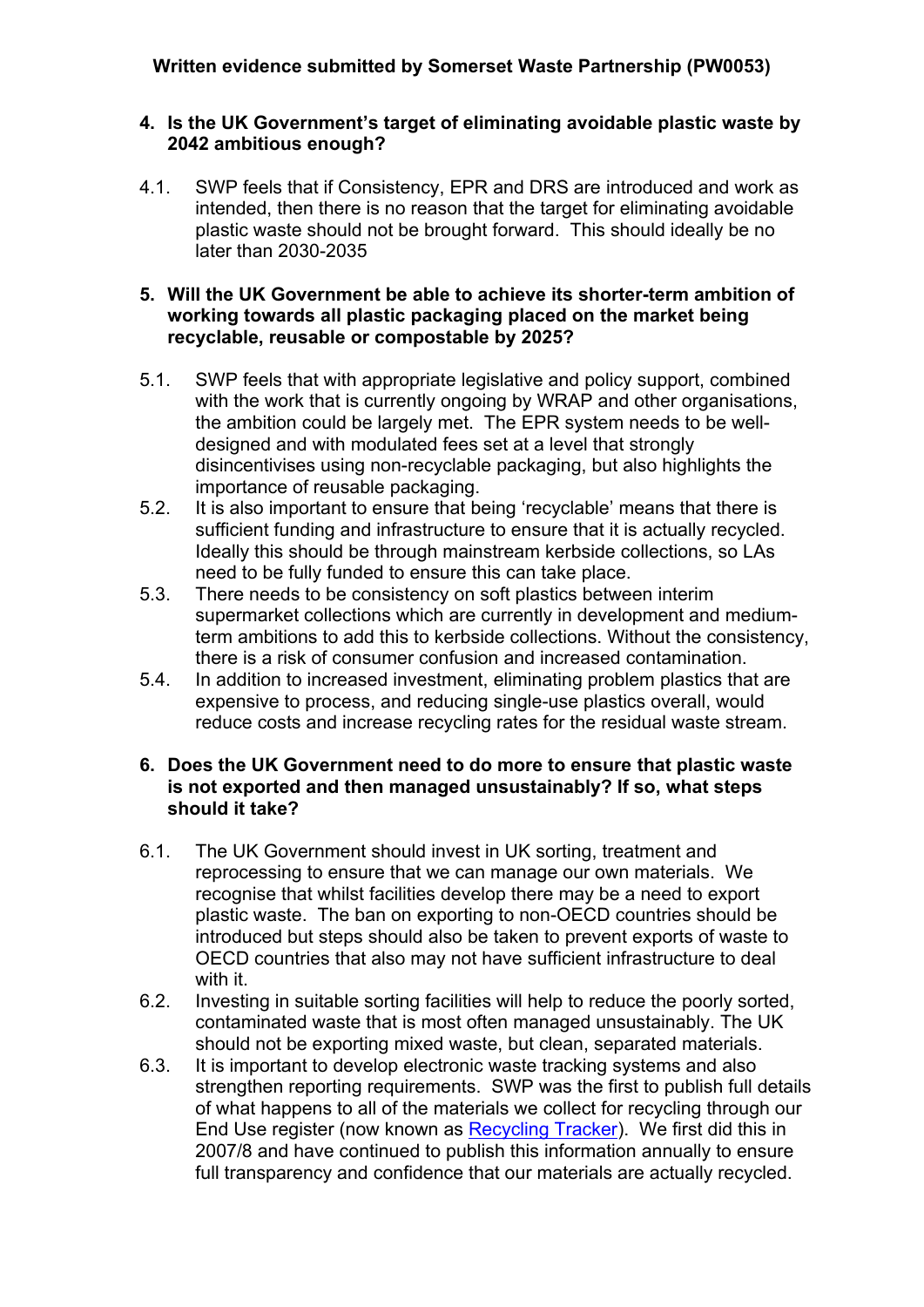#### **4. Is the UK Government's target of eliminating avoidable plastic waste by 2042 ambitious enough?**

4.1. SWP feels that if Consistency, EPR and DRS are introduced and work as intended, then there is no reason that the target for eliminating avoidable plastic waste should not be brought forward. This should ideally be no later than 2030-2035

#### **5. Will the UK Government be able to achieve its shorter-term ambition of working towards all plastic packaging placed on the market being recyclable, reusable or compostable by 2025?**

- 5.1. SWP feels that with appropriate legislative and policy support, combined with the work that is currently ongoing by WRAP and other organisations, the ambition could be largely met. The EPR system needs to be welldesigned and with modulated fees set at a level that strongly disincentivises using non-recyclable packaging, but also highlights the importance of reusable packaging.
- 5.2. It is also important to ensure that being 'recyclable' means that there is sufficient funding and infrastructure to ensure that it is actually recycled. Ideally this should be through mainstream kerbside collections, so LAs need to be fully funded to ensure this can take place.
- 5.3. There needs to be consistency on soft plastics between interim supermarket collections which are currently in development and mediumterm ambitions to add this to kerbside collections. Without the consistency, there is a risk of consumer confusion and increased contamination.
- 5.4. In addition to increased investment, eliminating problem plastics that are expensive to process, and reducing single-use plastics overall, would reduce costs and increase recycling rates for the residual waste stream.

#### **6. Does the UK Government need to do more to ensure that plastic waste is not exported and then managed unsustainably? If so, what steps should it take?**

- 6.1. The UK Government should invest in UK sorting, treatment and reprocessing to ensure that we can manage our own materials. We recognise that whilst facilities develop there may be a need to export plastic waste. The ban on exporting to non-OECD countries should be introduced but steps should also be taken to prevent exports of waste to OECD countries that also may not have sufficient infrastructure to deal with it.
- 6.2. Investing in suitable sorting facilities will help to reduce the poorly sorted, contaminated waste that is most often managed unsustainably. The UK should not be exporting mixed waste, but clean, separated materials.
- 6.3. It is important to develop electronic waste tracking systems and also strengthen reporting requirements. SWP was the first to publish full details of what happens to all of the materials we collect for recycling through our End Use register (now known as [Recycling](https://www.somersetwaste.gov.uk/recycling-tracker/) [Tracker](https://www.somersetwaste.gov.uk/recycling-tracker/)). We first did this in 2007/8 and have continued to publish this information annually to ensure full transparency and confidence that our materials are actually recycled.